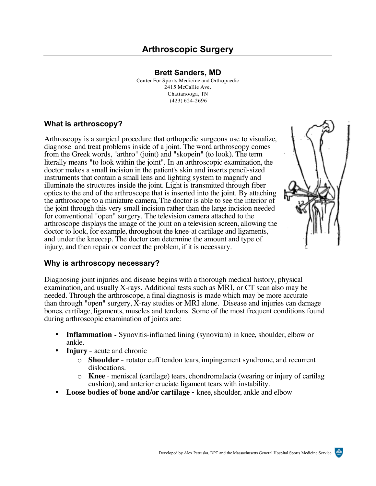**Brett Sanders, MD**  Center For Sports Medicine and Orthopaedic 2415 McCallie Ave. Chattanooga, TN (423) 624-2696

# **What is arthroscopy?**

Arthroscopy is a surgical procedure that orthopedic surgeons use to visualize, diagnose and treat problems inside of a joint. The word arthroscopy comes from the Greek words, "arthro" (joint) and "skopein" (to look). The term literally means "to look within the joint". In an arthroscopic examination, the doctor makes a small incision in the patient's skin and inserts pencil-sized instruments that contain a small lens and lighting system to magnify and illuminate the structures inside the joint. Light is transmitted through fiber optics to the end of the arthroscope that is inserted into the joint. By attaching the arthroscope to a miniature camera, The doctor is able to see the interior of the joint through this very small incision rather than the large incision needed for conventional "open" surgery. The television camera attached to the arthroscope displays the image of the joint on a television screen, allowing the doctor to look, for example, throughout the knee-at cartilage and ligaments, and under the kneecap. The doctor can determine the amount and type of injury, and then repair or correct the problem, if it is necessary.



# **Why is arthroscopy necessary?**

Diagnosing joint injuries and disease begins with a thorough medical history, physical examination, and usually X-rays. Additional tests such as MRI**,** or CT scan also may be needed. Through the arthroscope, a final diagnosis is made which may be more accurate than through "open" surgery, X-ray studies or MRI alone. Disease and injuries can damage bones, cartilage, ligaments, muscles and tendons. Some of the most frequent conditions found during arthroscopic examination of joints are:

- **Inflammation** Synovitis-inflamed lining (synovium) in knee, shoulder, elbow or ankle.
- **Injury** acute and chronic
	- o **Shoulder** rotator cuff tendon tears, impingement syndrome, and recurrent dislocations.
	- o **Knee** meniscal (cartilage) tears, chondromalacia (wearing or injury of cartilag cushion), and anterior cruciate ligament tears with instability.
- **Loose bodies of bone and/or cartilage**  knee, shoulder, ankle and elbow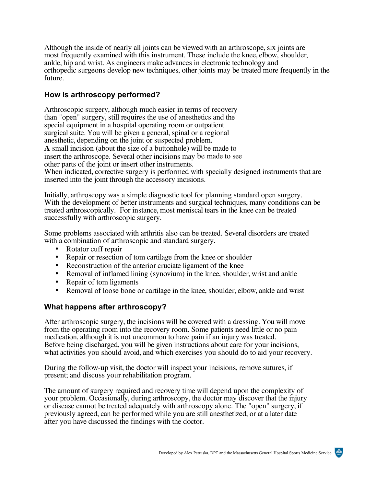Although the inside of nearly all joints can be viewed with an arthroscope, six joints are most frequently examined with this instrument. These include the knee, elbow, shoulder, ankle, hip and wrist. As engineers make advances in electronic technology and orthopedic surgeons develop new techniques, other joints may be treated more frequently in the future.

## **How is arthroscopy performed?**

Arthroscopic surgery, although much easier in terms of recovery than "open" surgery, still requires the use of anesthetics and the special equipment in a hospital operating room or outpatient surgical suite. You will be given a general, spinal or a regional anesthetic, depending on the joint or suspected problem. **A** small incision (about the size of a buttonhole) will be made to insert the arthroscope. Several other incisions may be made to see other parts of the joint or insert other instruments. When indicated, corrective surgery is performed with specially designed instruments that are inserted into the joint through the accessory incisions.

Initially, arthroscopy was a simple diagnostic tool for planning standard open surgery. With the development of better instruments and surgical techniques, many conditions can be treated arthroscopically. For instance, most meniscal tears in the knee can be treated successfully with arthroscopic surgery.

Some problems associated with arthritis also can be treated. Several disorders are treated with a combination of arthroscopic and standard surgery.

- Rotator cuff repair
- Repair or resection of tom cartilage from the knee or shoulder
- Reconstruction of the anterior cruciate ligament of the knee
- Removal of inflamed lining (synovium) in the knee, shoulder, wrist and ankle
- Repair of tom ligaments
- Removal of loose bone or cartilage in the knee, shoulder, elbow, ankle and wrist

### **What happens after arthroscopy?**

After arthroscopic surgery, the incisions will be covered with a dressing. You will move from the operating room into the recovery room. Some patients need little or no pain medication, although it is not uncommon to have pain if an injury was treated. Before being discharged, you will be given instructions about care for your incisions, what activities you should avoid, and which exercises you should do to aid your recovery.

During the follow-up visit, the doctor will inspect your incisions, remove sutures, if present; and discuss your rehabilitation program.

The amount of surgery required and recovery time will depend upon the complexity of your problem. Occasionally, during arthroscopy, the doctor may discover that the injury or disease cannot be treated adequately with arthroscopy alone. The "open" surgery, if previously agreed, can be performed while you are still anesthetized, or at a later date after you have discussed the findings with the doctor.